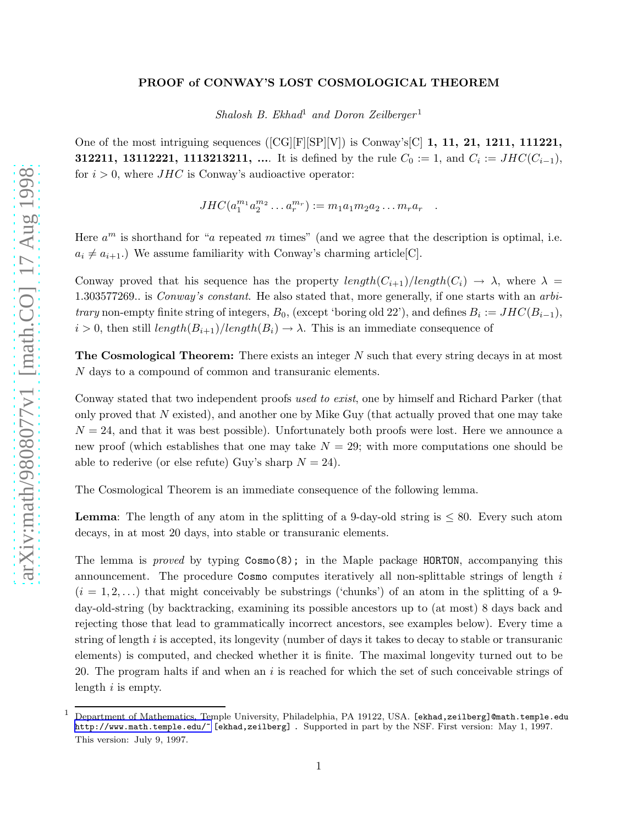## PROOF of CONWAY'S LOST COSMOLOGICAL THEOREM

Shalosh B. Ekhad<sup>1</sup> and Doron Zeilberger<sup>1</sup>

One of the most intriguing sequences ( $[CG][F][SP][V]$ ) is Conway's<sup>[C]</sup> 1, 11, 21, 1211, 111221, **312211, 13112221, 1113213211, ....** It is defined by the rule  $C_0 := 1$ , and  $C_i := JHC(C_{i-1}),$ for  $i > 0$ , where  $JHC$  is Conway's audioactive operator:

 $JHC(a_1^{m_1}a_2^{m_2}\ldots a_r^{m_r}) := m_1a_1m_2a_2\ldots m_ra_r$ .

Here  $a^m$  is shorthand for "a repeated m times" (and we agree that the description is optimal, i.e.  $a_i \neq a_{i+1}$ .) We assume familiarity with Conway's charming article[C].

Conway proved that his sequence has the property  $length(C_{i+1})/length(C_i) \rightarrow \lambda$ , where  $\lambda =$ 1.303577269. is *Conway's constant*. He also stated that, more generally, if one starts with an *arbitrary* non-empty finite string of integers,  $B_0$ , (except 'boring old 22'), and defines  $B_i := JHC(B_{i-1}),$  $i > 0$ , then still  $length(B_{i+1})/length(B_i) \rightarrow \lambda$ . This is an immediate consequence of

The Cosmological Theorem: There exists an integer N such that every string decays in at most N days to a compound of common and transuranic elements.

Conway stated that two independent proofs used to exist, one by himself and Richard Parker (that only proved that  $N$  existed), and another one by Mike Guy (that actually proved that one may take  $N = 24$ , and that it was best possible). Unfortunately both proofs were lost. Here we announce a new proof (which establishes that one may take  $N = 29$ ; with more computations one should be able to rederive (or else refute) Guy's sharp  $N = 24$ ).

The Cosmological Theorem is an immediate consequence of the following lemma.

**Lemma:** The length of any atom in the splitting of a 9-day-old string is  $\leq 80$ . Every such atom decays, in at most 20 days, into stable or transuranic elements.

The lemma is proved by typing  $Cosmo(8)$ ; in the Maple package HORTON, accompanying this announcement. The procedure Cosmo computes iteratively all non-splittable strings of length i  $(i = 1, 2, ...)$  that might conceivably be substrings ('chunks') of an atom in the splitting of a 9day-old-string (by backtracking, examining its possible ancestors up to (at most) 8 days back and rejecting those that lead to grammatically incorrect ancestors, see examples below). Every time a string of length i is accepted, its longevity (number of days it takes to decay to stable or transuranic elements) is computed, and checked whether it is finite. The maximal longevity turned out to be 20. The program halts if and when an  $i$  is reached for which the set of such conceivable strings of length  $i$  is empty.

<sup>1</sup> Department of Mathematics, Temple University, Philadelphia, PA 19122, USA. [ekhad,zeilberg]@math.temple.edu [http://www.math.temple.edu/~](http://www.math.temple.edu/\char%20126\relax%20) [ekhad,zeilberg] . Supported in part by the NSF. First version: May 1, 1997. This version: July 9, 1997.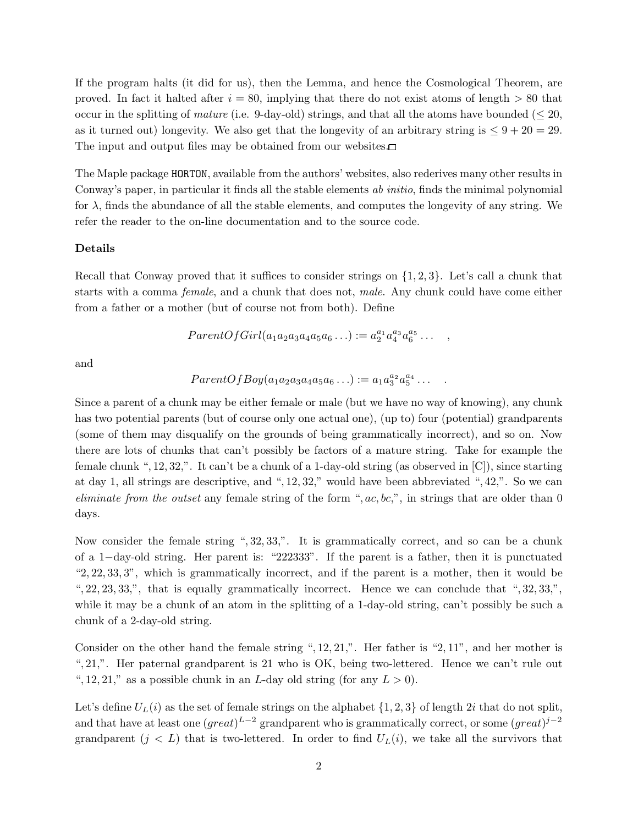If the program halts (it did for us), then the Lemma, and hence the Cosmological Theorem, are proved. In fact it halted after  $i = 80$ , implying that there do not exist atoms of length  $> 80$  that occur in the splitting of mature (i.e. 9-day-old) strings, and that all the atoms have bounded ( $\leq 20$ , as it turned out) longevity. We also get that the longevity of an arbitrary string is  $\leq 9 + 20 = 29$ . The input and output files may be obtained from our websites.

The Maple package HORTON, available from the authors' websites, also rederives many other results in Conway's paper, in particular it finds all the stable elements ab initio, finds the minimal polynomial for  $\lambda$ , finds the abundance of all the stable elements, and computes the longevity of any string. We refer the reader to the on-line documentation and to the source code.

## Details

Recall that Conway proved that it suffices to consider strings on  $\{1, 2, 3\}$ . Let's call a chunk that starts with a comma female, and a chunk that does not, male. Any chunk could have come either from a father or a mother (but of course not from both). Define

$$
ParentOfGirl(a_1a_2a_3a_4a_5a_6...):=a_2^{a_1}a_4^{a_3}a_6^{a_5}... ,
$$

and

$$
ParentOfBoy(a_1a_2a_3a_4a_5a_6...) := a_1a_3^{a_2}a_5^{a_4}...
$$

Since a parent of a chunk may be either female or male (but we have no way of knowing), any chunk has two potential parents (but of course only one actual one), (up to) four (potential) grandparents (some of them may disqualify on the grounds of being grammatically incorrect), and so on. Now there are lots of chunks that can't possibly be factors of a mature string. Take for example the female chunk ", 12, 32,". It can't be a chunk of a 1-day-old string (as observed in  $[C]$ ), since starting at day 1, all strings are descriptive, and ", 12, 32," would have been abbreviated ", 42,". So we can eliminate from the outset any female string of the form ",  $ac, bc$ ", in strings that are older than 0 days.

Now consider the female string ", 32, 33,". It is grammatically correct, and so can be a chunk of a 1−day-old string. Her parent is: "222333". If the parent is a father, then it is punctuated "2, 22, 33, 3", which is grammatically incorrect, and if the parent is a mother, then it would be ",  $22, 23, 33,$ ", that is equally grammatically incorrect. Hence we can conclude that ",  $32, 33,$ ", while it may be a chunk of an atom in the splitting of a 1-day-old string, can't possibly be such a chunk of a 2-day-old string.

Consider on the other hand the female string ", 12, 21,". Her father is "2, 11", and her mother is ", 21,". Her paternal grandparent is 21 who is OK, being two-lettered. Hence we can't rule out ", 12, 21," as a possible chunk in an *L*-day old string (for any  $L > 0$ ).

Let's define  $U_L(i)$  as the set of female strings on the alphabet  $\{1, 2, 3\}$  of length 2i that do not split, and that have at least one  $(great)^{L-2}$  grandparent who is grammatically correct, or some  $(great)^{j-2}$ grandparent  $(j < L)$  that is two-lettered. In order to find  $U_L(i)$ , we take all the survivors that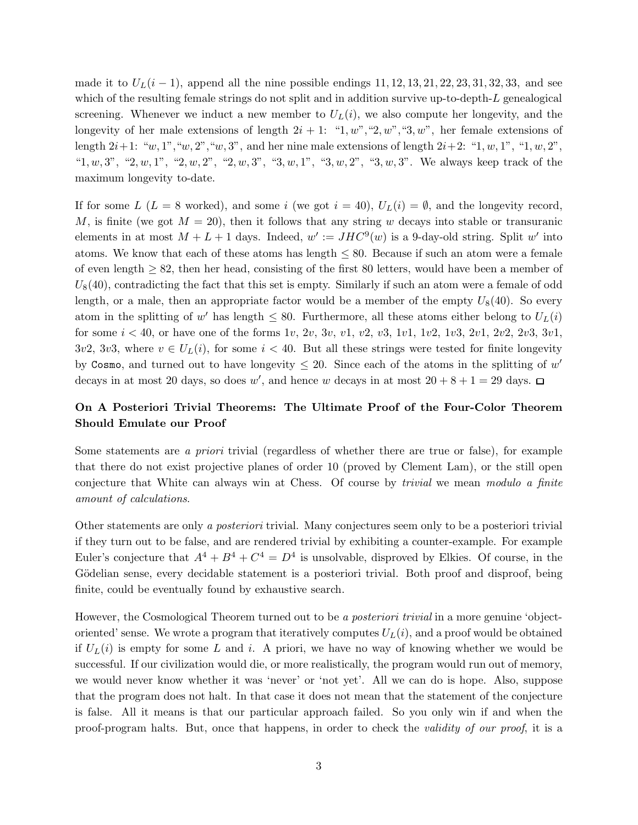made it to  $U_L(i-1)$ , append all the nine possible endings 11, 12, 13, 21, 22, 23, 31, 32, 33, and see which of the resulting female strings do not split and in addition survive up-to-depth-L genealogical screening. Whenever we induct a new member to  $U_L(i)$ , we also compute her longevity, and the longevity of her male extensions of length  $2i + 1$ : "1, w", "2, w", "3, w", her female extensions of length  $2i+1$ : "w, 1", "w, 2", "w, 3", and her nine male extensions of length  $2i+2$ : "1, w, 1", "1, w, 2", " $1, w, 3$ ", " $2, w, 1$ ", " $2, w, 2$ ", " $2, w, 3$ ", " $3, w, 1$ ", " $3, w, 2$ ", " $3, w, 3$ ". We always keep track of the maximum longevity to-date.

If for some L (L = 8 worked), and some i (we got  $i = 40$ ),  $U_L(i) = \emptyset$ , and the longevity record, M, is finite (we got  $M = 20$ ), then it follows that any string w decays into stable or transuranic elements in at most  $M + L + 1$  days. Indeed,  $w' := JHC^9(w)$  is a 9-day-old string. Split w' into atoms. We know that each of these atoms has length  $\leq 80$ . Because if such an atom were a female of even length  $\geq 82$ , then her head, consisting of the first 80 letters, would have been a member of  $U_8(40)$ , contradicting the fact that this set is empty. Similarly if such an atom were a female of odd length, or a male, then an appropriate factor would be a member of the empty  $U_8(40)$ . So every atom in the splitting of w' has length  $\leq 80$ . Furthermore, all these atoms either belong to  $U_L(i)$ for some  $i < 40$ , or have one of the forms  $1v$ ,  $2v$ ,  $3v$ ,  $v1$ ,  $v2$ ,  $v3$ ,  $1v1$ ,  $1v2$ ,  $1v3$ ,  $2v1$ ,  $2v2$ ,  $2v3$ ,  $3v1$ ,  $3v^2$ ,  $3v^3$ , where  $v \in U_L(i)$ , for some  $i < 40$ . But all these strings were tested for finite longevity by Cosmo, and turned out to have longevity  $\leq 20$ . Since each of the atoms in the splitting of w' decays in at most 20 days, so does w', and hence w decays in at most  $20 + 8 + 1 = 29$  days.

## On A Posteriori Trivial Theorems: The Ultimate Proof of the Four-Color Theorem Should Emulate our Proof

Some statements are a priori trivial (regardless of whether there are true or false), for example that there do not exist projective planes of order 10 (proved by Clement Lam), or the still open conjecture that White can always win at Chess. Of course by trivial we mean modulo a finite amount of calculations.

Other statements are only a posteriori trivial. Many conjectures seem only to be a posteriori trivial if they turn out to be false, and are rendered trivial by exhibiting a counter-example. For example Euler's conjecture that  $A^4 + B^4 + C^4 = D^4$  is unsolvable, disproved by Elkies. Of course, in the Gödelian sense, every decidable statement is a posteriori trivial. Both proof and disproof, being finite, could be eventually found by exhaustive search.

However, the Cosmological Theorem turned out to be a *posteriori trivial* in a more genuine 'objectoriented' sense. We wrote a program that iteratively computes  $U_L(i)$ , and a proof would be obtained if  $U_L(i)$  is empty for some L and i. A priori, we have no way of knowing whether we would be successful. If our civilization would die, or more realistically, the program would run out of memory, we would never know whether it was 'never' or 'not yet'. All we can do is hope. Also, suppose that the program does not halt. In that case it does not mean that the statement of the conjecture is false. All it means is that our particular approach failed. So you only win if and when the proof-program halts. But, once that happens, in order to check the validity of our proof, it is a